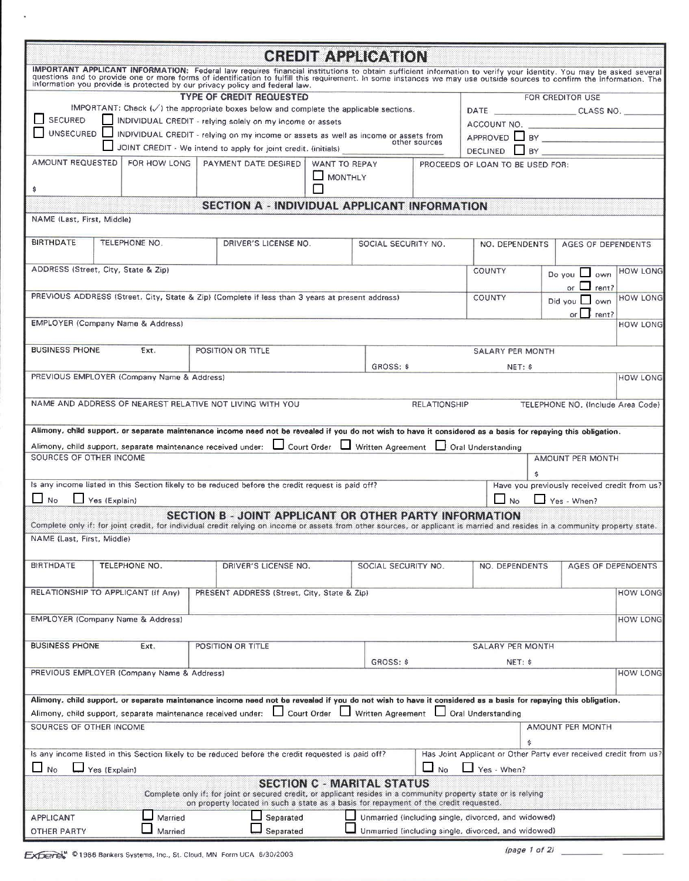|                                                                                                                |                                                                             |              |  |                                                                                                                                                                                                                                                                                                               |                | <b>CREDIT APPLICATION</b>                                        |                                  |                                                           |                 |             |                    |                                              |  |
|----------------------------------------------------------------------------------------------------------------|-----------------------------------------------------------------------------|--------------|--|---------------------------------------------------------------------------------------------------------------------------------------------------------------------------------------------------------------------------------------------------------------------------------------------------------------|----------------|------------------------------------------------------------------|----------------------------------|-----------------------------------------------------------|-----------------|-------------|--------------------|----------------------------------------------|--|
|                                                                                                                |                                                                             |              |  | IMPORTANT APPLICANT INFORMATION: Federal law requires financial institutions to obtain sufficient information to verify your identity. You may be asked several questions and to provide one or more forms of identification t<br>information you provide is protected by our privacy policy and federal law. |                |                                                                  |                                  |                                                           |                 |             |                    |                                              |  |
| <b>TYPE OF CREDIT REQUESTED</b>                                                                                |                                                                             |              |  |                                                                                                                                                                                                                                                                                                               |                |                                                                  |                                  | FOR CREDITOR USE                                          |                 |             |                    |                                              |  |
| IMPORTANT: Check (√) the appropriate boxes below and complete the applicable sections.                         |                                                                             |              |  |                                                                                                                                                                                                                                                                                                               |                |                                                                  |                                  | DATE _________________________________CLASS NO. _________ |                 |             |                    |                                              |  |
| SECURED<br>INDIVIDUAL CREDIT - relying solely on my income or assets                                           |                                                                             |              |  |                                                                                                                                                                                                                                                                                                               |                |                                                                  | ACCOUNT NO.                      |                                                           |                 |             |                    |                                              |  |
| UNSECURED INDIVIDUAL CREDIT - relying on my income or assets as well as income or assets from<br>other sources |                                                                             |              |  |                                                                                                                                                                                                                                                                                                               |                |                                                                  | APPROVED BY                      |                                                           |                 |             |                    |                                              |  |
|                                                                                                                |                                                                             |              |  | JOINT CREDIT - We intend to apply for joint credit. (initials)                                                                                                                                                                                                                                                |                |                                                                  |                                  |                                                           | <b>DECLINED</b> |             |                    |                                              |  |
| AMOUNT REQUESTED                                                                                               |                                                                             | FOR HOW LONG |  | PAYMENT DATE DESIRED<br>WANT TO REPAY                                                                                                                                                                                                                                                                         |                |                                                                  | PROCEEDS OF LOAN TO BE USED FOR: |                                                           |                 |             |                    |                                              |  |
|                                                                                                                |                                                                             |              |  |                                                                                                                                                                                                                                                                                                               | $\Box$ MONTHLY |                                                                  |                                  |                                                           |                 |             |                    |                                              |  |
| \$                                                                                                             |                                                                             |              |  |                                                                                                                                                                                                                                                                                                               |                |                                                                  |                                  |                                                           |                 |             |                    |                                              |  |
|                                                                                                                |                                                                             |              |  | SECTION A - INDIVIDUAL APPLICANT INFORMATION                                                                                                                                                                                                                                                                  |                |                                                                  |                                  |                                                           |                 |             |                    |                                              |  |
| NAME (Last, First, Middle)                                                                                     |                                                                             |              |  |                                                                                                                                                                                                                                                                                                               |                |                                                                  |                                  |                                                           |                 |             |                    |                                              |  |
| <b>BIRTHDATE</b>                                                                                               | TELEPHONE NO.                                                               |              |  | DRIVER'S LICENSE NO.                                                                                                                                                                                                                                                                                          |                |                                                                  | SOCIAL SECURITY NO.              |                                                           | NO. DEPENDENTS  |             | AGES OF DEPENDENTS |                                              |  |
| ADDRESS (Street, City, State & Zip)                                                                            |                                                                             |              |  |                                                                                                                                                                                                                                                                                                               |                |                                                                  |                                  | <b>COUNTY</b>                                             |                 |             | Do you $\Box$ own  | <b>HOW LONG</b>                              |  |
|                                                                                                                |                                                                             |              |  |                                                                                                                                                                                                                                                                                                               |                |                                                                  |                                  |                                                           |                 |             | or $\Box$ rent?    |                                              |  |
|                                                                                                                |                                                                             |              |  | PREVIOUS ADDRESS (Street, City, State & Zip) (Complete if less than 3 years at present address)                                                                                                                                                                                                               |                |                                                                  | <b>COUNTY</b>                    |                                                           |                 | Did you     | own                | <b>HOW LONG</b>                              |  |
|                                                                                                                |                                                                             |              |  |                                                                                                                                                                                                                                                                                                               |                |                                                                  |                                  |                                                           |                 | or I        | rent?              |                                              |  |
| <b>EMPLOYER (Company Name &amp; Address)</b>                                                                   |                                                                             |              |  |                                                                                                                                                                                                                                                                                                               |                |                                                                  |                                  |                                                           |                 |             |                    | <b>HOW LONG</b>                              |  |
|                                                                                                                |                                                                             |              |  |                                                                                                                                                                                                                                                                                                               |                |                                                                  |                                  |                                                           |                 |             |                    |                                              |  |
| <b>BUSINESS PHONE</b>                                                                                          |                                                                             | Ext.         |  | POSITION OR TITLE                                                                                                                                                                                                                                                                                             |                |                                                                  |                                  | <b>SALARY PER MONTH</b>                                   |                 |             |                    |                                              |  |
|                                                                                                                |                                                                             |              |  |                                                                                                                                                                                                                                                                                                               |                | GROSS: \$                                                        |                                  |                                                           | NET: \$         |             |                    |                                              |  |
| PREVIOUS EMPLOYER (Company Name & Address)                                                                     |                                                                             |              |  |                                                                                                                                                                                                                                                                                                               |                |                                                                  |                                  |                                                           |                 |             |                    | <b>HOW LONG</b>                              |  |
|                                                                                                                |                                                                             |              |  |                                                                                                                                                                                                                                                                                                               |                |                                                                  |                                  |                                                           |                 |             |                    |                                              |  |
|                                                                                                                |                                                                             |              |  | NAME AND ADDRESS OF NEAREST RELATIVE NOT LIVING WITH YOU                                                                                                                                                                                                                                                      |                |                                                                  | <b>RELATIONSHIP</b>              |                                                           |                 |             |                    | TELEPHONE NO. (Include Area Code)            |  |
|                                                                                                                |                                                                             |              |  |                                                                                                                                                                                                                                                                                                               |                |                                                                  |                                  |                                                           |                 |             |                    |                                              |  |
|                                                                                                                |                                                                             |              |  | Alimony, child support, or separate maintenance income need not be revealed if you do not wish to have it considered as a basis for repaying this obligation.                                                                                                                                                 |                |                                                                  |                                  |                                                           |                 |             |                    |                                              |  |
|                                                                                                                |                                                                             |              |  | Alimony, child support, separate maintenance received under: [ Court Order [ J Written Agreement                                                                                                                                                                                                              |                |                                                                  |                                  | Oral Understanding                                        |                 |             |                    |                                              |  |
| SOURCES OF OTHER INCOME                                                                                        |                                                                             |              |  |                                                                                                                                                                                                                                                                                                               |                |                                                                  |                                  |                                                           |                 |             | AMOUNT PER MONTH   |                                              |  |
|                                                                                                                |                                                                             |              |  |                                                                                                                                                                                                                                                                                                               |                |                                                                  |                                  |                                                           | Ś               |             |                    |                                              |  |
|                                                                                                                |                                                                             |              |  | Is any income listed in this Section likely to be reduced before the credit request is paid off?                                                                                                                                                                                                              |                |                                                                  |                                  |                                                           |                 |             |                    | Have you previously received credit from us? |  |
| $\Box$ No                                                                                                      | Yes (Explain)                                                               |              |  |                                                                                                                                                                                                                                                                                                               |                |                                                                  |                                  | $\blacksquare$<br>No                                      |                 | Yes - When? |                    |                                              |  |
|                                                                                                                |                                                                             |              |  | SECTION B - JOINT APPLICANT OR OTHER PARTY INFORMATION<br>Complete only if: for joint credit, for individual credit relying on income or assets from other sources, or applicant is married and resides in a community property state.                                                                        |                |                                                                  |                                  |                                                           |                 |             |                    |                                              |  |
| NAME (Last, First, Middle)                                                                                     |                                                                             |              |  |                                                                                                                                                                                                                                                                                                               |                |                                                                  |                                  |                                                           |                 |             |                    |                                              |  |
|                                                                                                                |                                                                             |              |  |                                                                                                                                                                                                                                                                                                               |                |                                                                  |                                  |                                                           |                 |             |                    |                                              |  |
| <b>BIRTHDATE</b><br>TELEPHONE NO.                                                                              |                                                                             |              |  | DRIVER'S LICENSE NO.                                                                                                                                                                                                                                                                                          |                |                                                                  | SOCIAL SECURITY NO.              | NO. DEPENDENTS                                            |                 |             |                    | AGES OF DEPENDENTS                           |  |
|                                                                                                                |                                                                             |              |  |                                                                                                                                                                                                                                                                                                               |                |                                                                  |                                  |                                                           |                 |             |                    |                                              |  |
| RELATIONSHIP TO APPLICANT (If Any)                                                                             |                                                                             |              |  | PRESENT ADDRESS (Street, City, State & Zip)                                                                                                                                                                                                                                                                   |                |                                                                  |                                  |                                                           |                 |             |                    | <b>HOW LONG</b>                              |  |
|                                                                                                                |                                                                             |              |  |                                                                                                                                                                                                                                                                                                               |                |                                                                  |                                  |                                                           |                 |             |                    |                                              |  |
| EMPLOYER (Company Name & Address)                                                                              |                                                                             |              |  |                                                                                                                                                                                                                                                                                                               |                |                                                                  |                                  |                                                           |                 |             |                    | <b>HOW LONG</b>                              |  |
|                                                                                                                |                                                                             |              |  |                                                                                                                                                                                                                                                                                                               |                |                                                                  |                                  |                                                           |                 |             |                    |                                              |  |
| <b>BUSINESS PHONE</b><br>Ext.                                                                                  |                                                                             |              |  | POSITION OR TITLE                                                                                                                                                                                                                                                                                             |                |                                                                  | SALARY PER MONTH                 |                                                           |                 |             |                    |                                              |  |
|                                                                                                                |                                                                             |              |  |                                                                                                                                                                                                                                                                                                               |                | GROSS: \$                                                        |                                  | NET: \$                                                   |                 |             |                    |                                              |  |
| PREVIOUS EMPLOYER (Company Name & Address)                                                                     |                                                                             |              |  |                                                                                                                                                                                                                                                                                                               |                |                                                                  |                                  |                                                           |                 |             |                    | <b>HOW LONG</b>                              |  |
|                                                                                                                |                                                                             |              |  |                                                                                                                                                                                                                                                                                                               |                |                                                                  |                                  |                                                           |                 |             |                    |                                              |  |
|                                                                                                                |                                                                             |              |  | Alimony, child support, or separate maintenance income need not be revealed if you do not wish to have it considered as a basis for repaying this obligation.                                                                                                                                                 |                |                                                                  |                                  |                                                           |                 |             |                    |                                              |  |
| Alimony, child support, separate maintenance received under:                                                   |                                                                             |              |  | Court Order                                                                                                                                                                                                                                                                                                   |                | Written Agreement                                                |                                  | Oral Understanding                                        |                 |             |                    |                                              |  |
| SOURCES OF OTHER INCOME                                                                                        |                                                                             |              |  |                                                                                                                                                                                                                                                                                                               |                |                                                                  |                                  |                                                           |                 |             | AMOUNT PER MONTH   |                                              |  |
|                                                                                                                |                                                                             |              |  |                                                                                                                                                                                                                                                                                                               |                | \$                                                               |                                  |                                                           |                 |             |                    |                                              |  |
| Is any income listed in this Section likely to be reduced before the credit requested is paid off?             |                                                                             |              |  |                                                                                                                                                                                                                                                                                                               |                | Has Joint Applicant or Other Party ever received credit from us? |                                  |                                                           |                 |             |                    |                                              |  |
| $\Box$ No                                                                                                      | Yes (Explain)                                                               |              |  |                                                                                                                                                                                                                                                                                                               |                |                                                                  | $\Box$ No                        | Yes - When?                                               |                 |             |                    |                                              |  |
|                                                                                                                |                                                                             |              |  |                                                                                                                                                                                                                                                                                                               |                | <b>SECTION C - MARITAL STATUS</b>                                |                                  |                                                           |                 |             |                    |                                              |  |
|                                                                                                                |                                                                             |              |  | Complete only if: for joint or secured credit, or applicant resides in a community property state or is relying<br>on property located in such a state as a basis for repayment of the credit requested.                                                                                                      |                |                                                                  |                                  |                                                           |                 |             |                    |                                              |  |
| <b>APPLICANT</b>                                                                                               | Unmarried (including single, divorced, and widowed)<br>Married<br>Separated |              |  |                                                                                                                                                                                                                                                                                                               |                |                                                                  |                                  |                                                           |                 |             |                    |                                              |  |
| <b>OTHER PARTY</b>                                                                                             |                                                                             | Married      |  | Separated                                                                                                                                                                                                                                                                                                     |                | Unmarried (including single, divorced, and widowed)              |                                  |                                                           |                 |             |                    |                                              |  |

 $\overline{a}$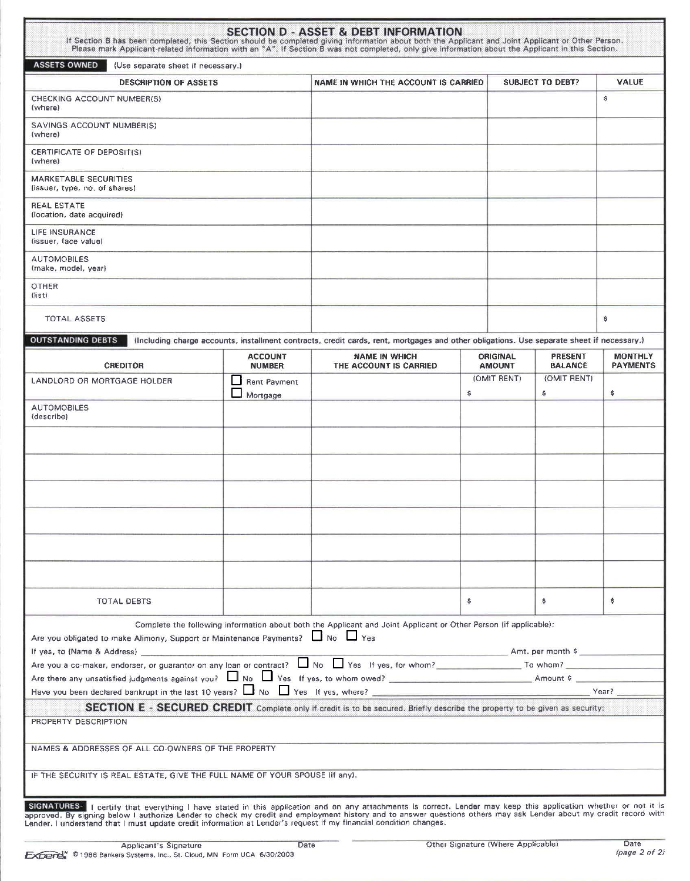| If Section B has been completed, this Section should be completed giving information about both the Applicant and Joint Applicant or Other Person.<br>Please mark Applicant-related information with an "A". If Section B was not completed, only give information about the Applicant in this Section.                                                                                                            |                                          | <b>SECTION D - ASSET &amp; DEBT INFORMATION</b>                                                                                           |       |                                  |                                  |                                   |
|--------------------------------------------------------------------------------------------------------------------------------------------------------------------------------------------------------------------------------------------------------------------------------------------------------------------------------------------------------------------------------------------------------------------|------------------------------------------|-------------------------------------------------------------------------------------------------------------------------------------------|-------|----------------------------------|----------------------------------|-----------------------------------|
| <b>ASSETS OWNED</b><br>(Use separate sheet if necessary.)                                                                                                                                                                                                                                                                                                                                                          |                                          |                                                                                                                                           |       |                                  |                                  |                                   |
| <b>DESCRIPTION OF ASSETS</b>                                                                                                                                                                                                                                                                                                                                                                                       | NAME IN WHICH THE ACCOUNT IS CARRIED     | <b>SUBJECT TO DEBT?</b>                                                                                                                   | VALUE |                                  |                                  |                                   |
| CHECKING ACCOUNT NUMBER(S)<br>(where)                                                                                                                                                                                                                                                                                                                                                                              |                                          |                                                                                                                                           |       |                                  |                                  | ŝ                                 |
| SAVINGS ACCOUNT NUMBER(S)<br>(where)                                                                                                                                                                                                                                                                                                                                                                               |                                          |                                                                                                                                           |       |                                  |                                  |                                   |
| CERTIFICATE OF DEPOSIT(S)<br>(where)                                                                                                                                                                                                                                                                                                                                                                               |                                          |                                                                                                                                           |       |                                  |                                  |                                   |
| MARKETABLE SECURITIES<br>(issuer, type, no. of shares)                                                                                                                                                                                                                                                                                                                                                             |                                          |                                                                                                                                           |       |                                  |                                  |                                   |
| <b>REAL ESTATE</b><br>(location, date acquired)                                                                                                                                                                                                                                                                                                                                                                    |                                          |                                                                                                                                           |       |                                  |                                  |                                   |
| LIFE INSURANCE<br>(issuer, face value)                                                                                                                                                                                                                                                                                                                                                                             |                                          |                                                                                                                                           |       |                                  |                                  |                                   |
| <b>AUTOMOBILES</b><br>(make, model, year)                                                                                                                                                                                                                                                                                                                                                                          |                                          |                                                                                                                                           |       |                                  |                                  |                                   |
| <b>OTHER</b><br>(iist)                                                                                                                                                                                                                                                                                                                                                                                             |                                          |                                                                                                                                           |       |                                  |                                  |                                   |
| <b>TOTAL ASSETS</b>                                                                                                                                                                                                                                                                                                                                                                                                |                                          |                                                                                                                                           |       |                                  |                                  | \$                                |
| <b>OUTSTANDING DEBTS</b>                                                                                                                                                                                                                                                                                                                                                                                           |                                          | (Including charge accounts, installment contracts, credit cards, rent, mortgages and other obligations. Use separate sheet if necessary.) |       |                                  |                                  |                                   |
| <b>CREDITOR</b>                                                                                                                                                                                                                                                                                                                                                                                                    | <b>ACCOUNT</b><br><b>NUMBER</b>          | <b>NAME IN WHICH</b><br>THE ACCOUNT IS CARRIED                                                                                            |       | <b>ORIGINAL</b><br><b>AMOUNT</b> | <b>PRESENT</b><br><b>BALANCE</b> | <b>MONTHLY</b><br><b>PAYMENTS</b> |
| LANDLORD OR MORTGAGE HOLDER                                                                                                                                                                                                                                                                                                                                                                                        | Rent Payment<br>$\mathbf{I}$<br>Mortgage |                                                                                                                                           | \$    | (OMIT RENT)                      | (OMIT RENT)<br>\$                | \$                                |
| <b>AUTOMOBILES</b><br>(describe)                                                                                                                                                                                                                                                                                                                                                                                   |                                          |                                                                                                                                           |       |                                  |                                  |                                   |
|                                                                                                                                                                                                                                                                                                                                                                                                                    |                                          |                                                                                                                                           |       |                                  |                                  |                                   |
|                                                                                                                                                                                                                                                                                                                                                                                                                    |                                          |                                                                                                                                           |       |                                  |                                  |                                   |
|                                                                                                                                                                                                                                                                                                                                                                                                                    |                                          |                                                                                                                                           |       |                                  |                                  |                                   |
|                                                                                                                                                                                                                                                                                                                                                                                                                    |                                          |                                                                                                                                           |       |                                  |                                  |                                   |
|                                                                                                                                                                                                                                                                                                                                                                                                                    |                                          |                                                                                                                                           |       |                                  |                                  |                                   |
|                                                                                                                                                                                                                                                                                                                                                                                                                    |                                          |                                                                                                                                           |       |                                  |                                  |                                   |
|                                                                                                                                                                                                                                                                                                                                                                                                                    |                                          |                                                                                                                                           |       |                                  |                                  |                                   |
| TOTAL DEBTS                                                                                                                                                                                                                                                                                                                                                                                                        |                                          |                                                                                                                                           | \$    |                                  | \$                               | \$                                |
| Are you obligated to make Alimony, Support or Maintenance Payments? No U Yes                                                                                                                                                                                                                                                                                                                                       |                                          | Complete the following information about both the Applicant and Joint Applicant or Other Person (if applicable):                          |       |                                  |                                  |                                   |
| If yes, to (Name & Address) [19] 1999 (1999) [19] 1999 (1999) [19] 1999 (1999) [19] 1999 (1999) [19] 1999 (1999) [19] 1999 (1999) [19] 1999 (1999) [19] 1999 (1999) [19] 1999 (1999) [19] 1999 (1999) [19] 1999 (1999) [19] 19<br>Are you a co-maker, endorser, or guarantor on any loan or contract? No Nes If yes, for whom?<br>No Nes If yes, for whom?<br>No Nes If yes, for whom?<br>No Nes If yes, for whom? |                                          |                                                                                                                                           |       |                                  | Amt. per month \$                |                                   |
| Are there any unsatisfied judgments against you? No Ves If yes, to whom owed? No Commit Amount \$                                                                                                                                                                                                                                                                                                                  |                                          |                                                                                                                                           |       |                                  |                                  |                                   |
|                                                                                                                                                                                                                                                                                                                                                                                                                    |                                          |                                                                                                                                           |       |                                  |                                  |                                   |
|                                                                                                                                                                                                                                                                                                                                                                                                                    |                                          | SECTION E - SECURED CREDIT Complete only if credit is to be secured. Briefly describe the property to be given as security:               |       |                                  |                                  |                                   |
| PROPERTY DESCRIPTION                                                                                                                                                                                                                                                                                                                                                                                               |                                          |                                                                                                                                           |       |                                  |                                  |                                   |
| NAMES & ADDRESSES OF ALL CO-OWNERS OF THE PROPERTY                                                                                                                                                                                                                                                                                                                                                                 |                                          |                                                                                                                                           |       |                                  |                                  |                                   |
| IF THE SECURITY IS REAL ESTATE, GIVE THE FULL NAME OF YOUR SPOUSE (if any).                                                                                                                                                                                                                                                                                                                                        |                                          |                                                                                                                                           |       |                                  |                                  |                                   |
|                                                                                                                                                                                                                                                                                                                                                                                                                    |                                          |                                                                                                                                           |       |                                  |                                  |                                   |

SIGNATURES- I certify that everything I have stated in this application and on any attachments is correct. Lender may keep this application whether or not it is approved. By signing below I authorize Lender to check my cre